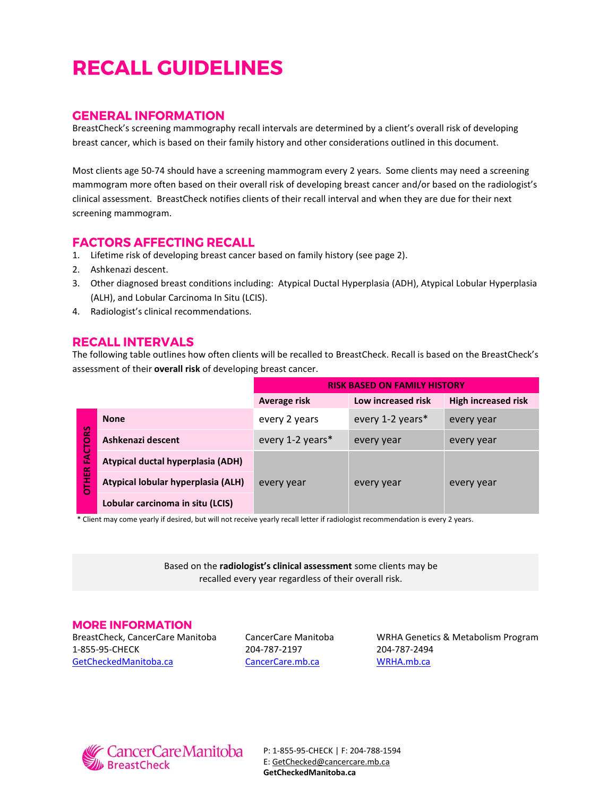# **RECALL GUIDELINES**

## **GENERAL INFORMATION**

BreastCheck's screening mammography recall intervals are determined by a client's overall risk of developing breast cancer, which is based on their family history and other considerations outlined in this document.

Most clients age 50-74 should have a screening mammogram every 2 years. Some clients may need a screening mammogram more often based on their overall risk of developing breast cancer and/or based on the radiologist's clinical assessment. BreastCheck notifies clients of their recall interval and when they are due for their next screening mammogram.

## **FACTORS AFFECTING RECALL**

- 1. Lifetime risk of developing breast cancer based on family history (see page 2).
- 2. Ashkenazi descent.
- 3. Other diagnosed breast conditions including: Atypical Ductal Hyperplasia (ADH), Atypical Lobular Hyperplasia (ALH), and Lobular Carcinoma In Situ (LCIS).
- 4. Radiologist's clinical recommendations.

## **RECALL INTERVALS**

The following table outlines how often clients will be recalled to BreastCheck. Recall is based on the BreastCheck's assessment of their **overall risk** of developing breast cancer.

|                      |                                    | <b>RISK BASED ON FAMILY HISTORY</b> |                    |                            |
|----------------------|------------------------------------|-------------------------------------|--------------------|----------------------------|
|                      |                                    | Average risk                        | Low increased risk | <b>High increased risk</b> |
|                      | <b>None</b>                        | every 2 years                       | every 1-2 years*   | every year                 |
| <b>ORS</b>           | Ashkenazi descent                  | every 1-2 years*                    | every year         | every year                 |
| FACT<br><b>DTHER</b> | Atypical ductal hyperplasia (ADH)  | every year                          | every year         | every year                 |
|                      | Atypical lobular hyperplasia (ALH) |                                     |                    |                            |
|                      | Lobular carcinoma in situ (LCIS)   |                                     |                    |                            |

\* Client may come yearly if desired, but will not receive yearly recall letter if radiologist recommendation is every 2 years.

Based on the **radiologist's clinical assessment** some clients may be recalled every year regardless of their overall risk.

#### **MORE INFORMATION**

BreastCheck, CancerCare Manitoba 1-855-95-CHECK [GetCheckedManitoba.ca](http://getcheckedmanitoba.ca/index.html)

CancerCare Manitoba 204-787-2197 [CancerCare.mb.ca](http://www.cancercare.mb.ca/)

WRHA Genetics & Metabolism Program 204-787-2494 [WRHA.mb.ca](http://www.wrha.mb.ca/prog/genetics/)



P: 1-855-95-CHECK | F: 204-788-1594 E[: GetChecked@cancercare.mb.ca](mailto:GetChecked@cancercare.mb.ca) **GetCheckedManitoba.ca**